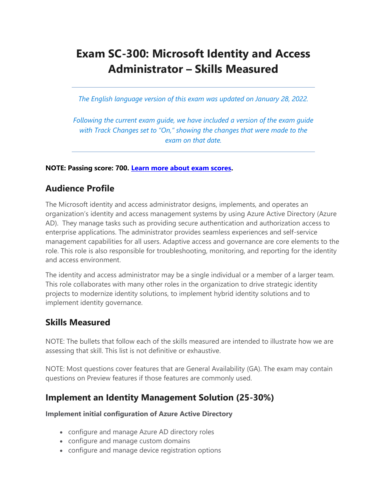# **Exam SC-300: Microsoft Identity and Access Administrator – Skills Measured**

*The English language version of this exam was updated on January 28, 2022.* 

*Following the current exam guide, we have included a version of the exam guide with Track Changes set to "On," showing the changes that were made to the exam on that date.*

### **NOTE: Passing score: 700. [Learn more about exam scores.](https://docs.microsoft.com/en-us/learn/certifications/exam-scoring-reports#scores-needed-to-pass-exams)**

# **Audience Profile**

The Microsoft identity and access administrator designs, implements, and operates an organization's identity and access management systems by using Azure Active Directory (Azure AD). They manage tasks such as providing secure authentication and authorization access to enterprise applications. The administrator provides seamless experiences and self-service management capabilities for all users. Adaptive access and governance are core elements to the role. This role is also responsible for troubleshooting, monitoring, and reporting for the identity and access environment.

The identity and access administrator may be a single individual or a member of a larger team. This role collaborates with many other roles in the organization to drive strategic identity projects to modernize identity solutions, to implement hybrid identity solutions and to implement identity governance.

# **Skills Measured**

NOTE: The bullets that follow each of the skills measured are intended to illustrate how we are assessing that skill. This list is not definitive or exhaustive.

NOTE: Most questions cover features that are General Availability (GA). The exam may contain questions on Preview features if those features are commonly used.

# **Implement an Identity Management Solution (25-30%)**

#### **Implement initial configuration of Azure Active Directory**

- configure and manage Azure AD directory roles
- configure and manage custom domains
- configure and manage device registration options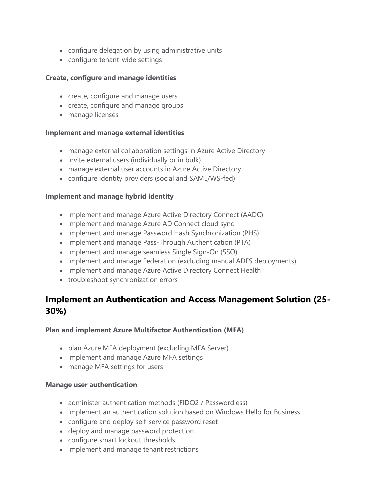- configure delegation by using administrative units
- configure tenant-wide settings

### **Create, configure and manage identities**

- create, configure and manage users
- create, configure and manage groups
- manage licenses

#### **Implement and manage external identities**

- manage external collaboration settings in Azure Active Directory
- invite external users (individually or in bulk)
- manage external user accounts in Azure Active Directory
- configure identity providers (social and SAML/WS-fed)

#### **Implement and manage hybrid identity**

- implement and manage Azure Active Directory Connect (AADC)
- implement and manage Azure AD Connect cloud sync
- implement and manage Password Hash Synchronization (PHS)
- implement and manage Pass-Through Authentication (PTA)
- implement and manage seamless Single Sign-On (SSO)
- implement and manage Federation (excluding manual ADFS deployments)
- implement and manage Azure Active Directory Connect Health
- troubleshoot synchronization errors

# **Implement an Authentication and Access Management Solution (25- 30%)**

### **Plan and implement Azure Multifactor Authentication (MFA)**

- plan Azure MFA deployment (excluding MFA Server)
- implement and manage Azure MFA settings
- manage MFA settings for users

#### **Manage user authentication**

- administer authentication methods (FIDO2 / Passwordless)
- implement an authentication solution based on Windows Hello for Business
- configure and deploy self-service password reset
- deploy and manage password protection
- configure smart lockout thresholds
- implement and manage tenant restrictions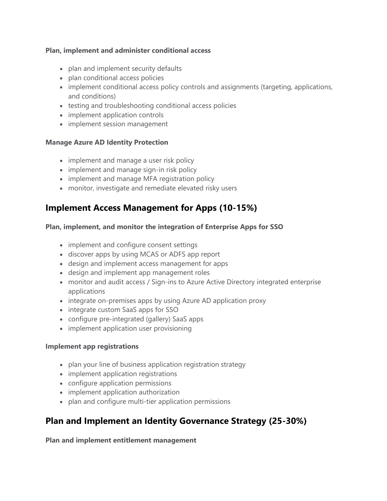### **Plan, implement and administer conditional access**

- plan and implement security defaults
- plan conditional access policies
- implement conditional access policy controls and assignments (targeting, applications, and conditions)
- testing and troubleshooting conditional access policies
- implement application controls
- implement session management

### **Manage Azure AD Identity Protection**

- implement and manage a user risk policy
- implement and manage sign-in risk policy
- implement and manage MFA registration policy
- monitor, investigate and remediate elevated risky users

# **Implement Access Management for Apps (10-15%)**

### **Plan, implement, and monitor the integration of Enterprise Apps for SSO**

- implement and configure consent settings
- discover apps by using MCAS or ADFS app report
- design and implement access management for apps
- design and implement app management roles
- monitor and audit access / Sign-ins to Azure Active Directory integrated enterprise applications
- integrate on-premises apps by using Azure AD application proxy
- integrate custom SaaS apps for SSO
- configure pre-integrated (gallery) SaaS apps
- implement application user provisioning

#### **Implement app registrations**

- plan your line of business application registration strategy
- implement application registrations
- configure application permissions
- implement application authorization
- plan and configure multi-tier application permissions

# **Plan and Implement an Identity Governance Strategy (25-30%)**

**Plan and implement entitlement management**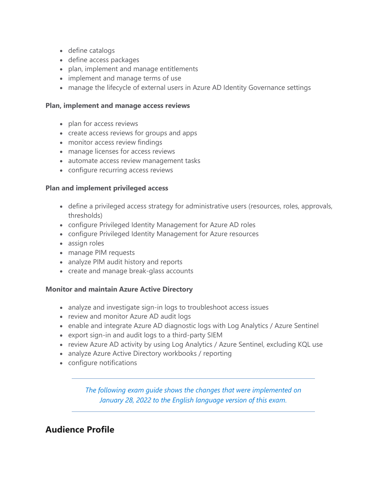- define catalogs
- define access packages
- plan, implement and manage entitlements
- implement and manage terms of use
- manage the lifecycle of external users in Azure AD Identity Governance settings

### **Plan, implement and manage access reviews**

- plan for access reviews
- create access reviews for groups and apps
- monitor access review findings
- manage licenses for access reviews
- automate access review management tasks
- configure recurring access reviews

### **Plan and implement privileged access**

- define a privileged access strategy for administrative users (resources, roles, approvals, thresholds)
- configure Privileged Identity Management for Azure AD roles
- configure Privileged Identity Management for Azure resources
- assign roles
- manage PIM requests
- analyze PIM audit history and reports
- create and manage break-glass accounts

### **Monitor and maintain Azure Active Directory**

- analyze and investigate sign-in logs to troubleshoot access issues
- review and monitor Azure AD audit logs
- enable and integrate Azure AD diagnostic logs with Log Analytics / Azure Sentinel
- export sign-in and audit logs to a third-party SIEM
- review Azure AD activity by using Log Analytics / Azure Sentinel, excluding KQL use
- analyze Azure Active Directory workbooks / reporting
- configure notifications

*The following exam guide shows the changes that were implemented on January 28, 2022 to the English language version of this exam.*

# **Audience Profile**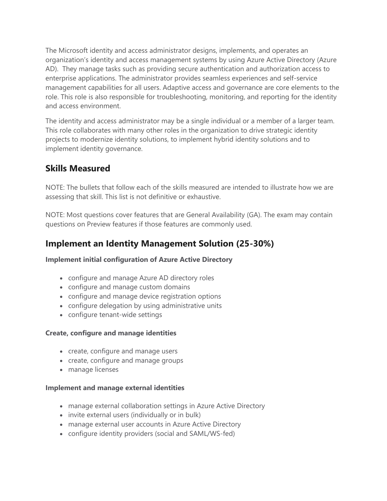The Microsoft identity and access administrator designs, implements, and operates an organization's identity and access management systems by using Azure Active Directory (Azure AD). They manage tasks such as providing secure authentication and authorization access to enterprise applications. The administrator provides seamless experiences and self-service management capabilities for all users. Adaptive access and governance are core elements to the role. This role is also responsible for troubleshooting, monitoring, and reporting for the identity and access environment.

The identity and access administrator may be a single individual or a member of a larger team. This role collaborates with many other roles in the organization to drive strategic identity projects to modernize identity solutions, to implement hybrid identity solutions and to implement identity governance.

# **Skills Measured**

NOTE: The bullets that follow each of the skills measured are intended to illustrate how we are assessing that skill. This list is not definitive or exhaustive.

NOTE: Most questions cover features that are General Availability (GA). The exam may contain questions on Preview features if those features are commonly used.

# **Implement an Identity Management Solution (25-30%)**

**Implement initial configuration of Azure Active Directory**

- configure and manage Azure AD directory roles
- configure and manage custom domains
- configure and manage device registration options
- configure delegation by using administrative units
- configure tenant-wide settings

### **Create, configure and manage identities**

- create, configure and manage users
- create, configure and manage groups
- manage licenses

#### **Implement and manage external identities**

- manage external collaboration settings in Azure Active Directory
- invite external users (individually or in bulk)
- manage external user accounts in Azure Active Directory
- configure identity providers (social and SAML/WS-fed)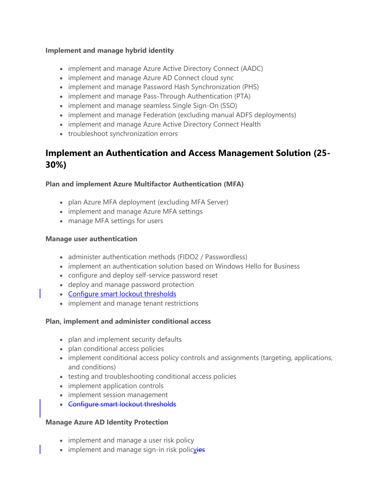### **Implement and manage hybrid identity**

- implement and manage Azure Active Directory Connect (AADC)
- implement and manage Azure AD Connect cloud sync
- implement and manage Password Hash Synchronization (PHS)
- implement and manage Pass-Through Authentication (PTA)
- implement and manage seamless Single Sign-On (SSO)
- implement and manage Federation (excluding manual ADFS deployments)
- implement and manage Azure Active Directory Connect Health
- troubleshoot synchronization errors

# **Implement an Authentication and Access Management Solution (25- 30%)**

### **Plan and implement Azure Multifactor Authentication (MFA)**

- plan Azure MFA deployment (excluding MFA Server)
- implement and manage Azure MFA settings
- manage MFA settings for users

### **Manage user authentication**

- administer authentication methods (FIDO2 / Passwordless)
- implement an authentication solution based on Windows Hello for Business
- configure and deploy self-service password reset
- deploy and manage password protection
- Configure smart lockout thresholds
- implement and manage tenant restrictions

### **Plan, implement and administer conditional access**

- plan and implement security defaults
- plan conditional access policies
- implement conditional access policy controls and assignments (targeting, applications, and conditions)
- testing and troubleshooting conditional access policies
- implement application controls
- implement session management
- Configure smart lockout thresholds

### **Manage Azure AD Identity Protection**

- implement and manage a user risk policy
- implement and manage sign-in risk policvies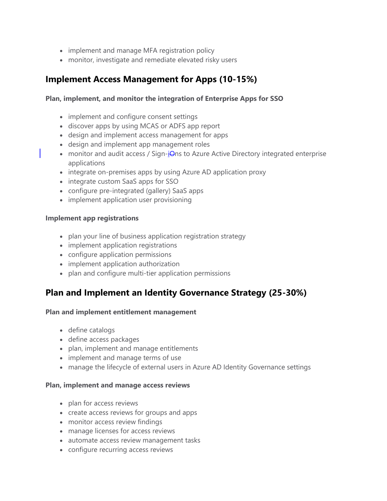- implement and manage MFA registration policy
- monitor, investigate and remediate elevated risky users

# **Implement Access Management for Apps (10-15%)**

### **Plan, implement, and monitor the integration of Enterprise Apps for SSO**

- implement and configure consent settings
- discover apps by using MCAS or ADFS app report
- design and implement access management for apps
- design and implement app management roles
- monitor and audit access / Sign-iOns to Azure Active Directory integrated enterprise applications
- integrate on-premises apps by using Azure AD application proxy
- integrate custom SaaS apps for SSO
- configure pre-integrated (gallery) SaaS apps
- implement application user provisioning

#### **Implement app registrations**

- plan your line of business application registration strategy
- implement application registrations
- configure application permissions
- implement application authorization
- plan and configure multi-tier application permissions

# **Plan and Implement an Identity Governance Strategy (25-30%)**

#### **Plan and implement entitlement management**

- define catalogs
- define access packages
- plan, implement and manage entitlements
- implement and manage terms of use
- manage the lifecycle of external users in Azure AD Identity Governance settings

#### **Plan, implement and manage access reviews**

- plan for access reviews
- create access reviews for groups and apps
- monitor access review findings
- manage licenses for access reviews
- automate access review management tasks
- configure recurring access reviews